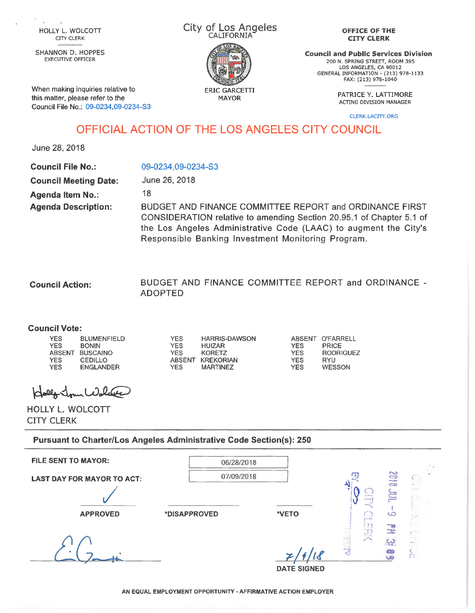CITY CLERK

SHANNON D. HOPPES EXECUTIVE OFFICER

When making inquiries relative to this matter, please refer to the

Council File No.: 09-0234,09-0234-S3

City of Los Angeles HOLLY L. WOLCOTT CITY CLUS AT LOS AND CALIFORNIA



ERIC GARCETTI

## **OFFICE OF THE CITY CLERK**

**Council and Public Services Division** 200 N. SPRING STREET, ROOM 395 LOS ANGELES, CA 90012 GENERAL INFORMATION - (213) 978-1133 FAX: (213) 978-1040

PATRICE Y. LATTIMORE<br>MAYOR PATRIC PUTTIS PUTTIS HALLEED ACTING DIVISION MANAGER

CLERK.LACITY.ORG

## OFFICIAL ACTION OF THE LOS ANGELES CITY COUNCIL

June 28,2018

| <b>Council File No.:</b>     | 09-0234,09-0234-S3                                                                                                                                                                                                                                        |
|------------------------------|-----------------------------------------------------------------------------------------------------------------------------------------------------------------------------------------------------------------------------------------------------------|
| <b>Council Meeting Date:</b> | June 26, 2018                                                                                                                                                                                                                                             |
| <b>Agenda Item No.:</b>      | 18                                                                                                                                                                                                                                                        |
| <b>Agenda Description:</b>   | BUDGET AND FINANCE COMMITTEE REPORT and ORDINANCE FIRST<br>CONSIDERATION relative to amending Section 20.95.1 of Chapter 5.1 of<br>the Los Angeles Administrative Code (LAAC) to augment the City's<br>Responsible Banking Investment Monitoring Program. |

BUDGET AND FINANCE COMMITTEE REPORT and ORDINANCE - ADOPTED **Council Action:**

## **Council Vote:**

YES BLUMENFIELD<br>YES BONIN **BONIN** ABSENT BUSCAINO<br>YES CEDILLO YES CEDILLO<br>YES ENGLANI ENGLANDER

YES HARRIS-DAWSON<br>YES HUIZAR YES HUIZAR<br>YES KORETZ YES KORETZ<br>ABSENT KREKORI KREKORIAN MARTINEZ YES YES WESSON

ABSENT O'FARRELL<br>YES PRICE PRICE YES RODRIGUEZ<br>YES RYU YES RYU<br>YES WESSON

Klalf John Wolche

HOLLY L. WOLCOTT CITY CLERK

**Pursuant to Charter/Los Angeles Administrative Code Section(s): 250**

| <b>FILE SENT TO MAYOR:</b>        | 06/28/2018   |                    |                                           |                         |                    |
|-----------------------------------|--------------|--------------------|-------------------------------------------|-------------------------|--------------------|
| <b>LAST DAY FOR MAYOR TO ACT:</b> | 07/09/2018   |                    | U.<br>of in 47 per ce<br><b>MAGAZIN</b>   | a 197<br>謂              | C.                 |
| <b>APPROVED</b>                   | *DISAPPROVED | *VETO              | <b>MOVING</b><br>F X 1<br>DC <sub>3</sub> | ఱ<br>- 75<br><b>The</b> |                    |
|                                   |              | <b>DATE SIGNED</b> | <b>City Countries</b><br>Spring of        | LO                      | ennis.<br>- -<br>n |